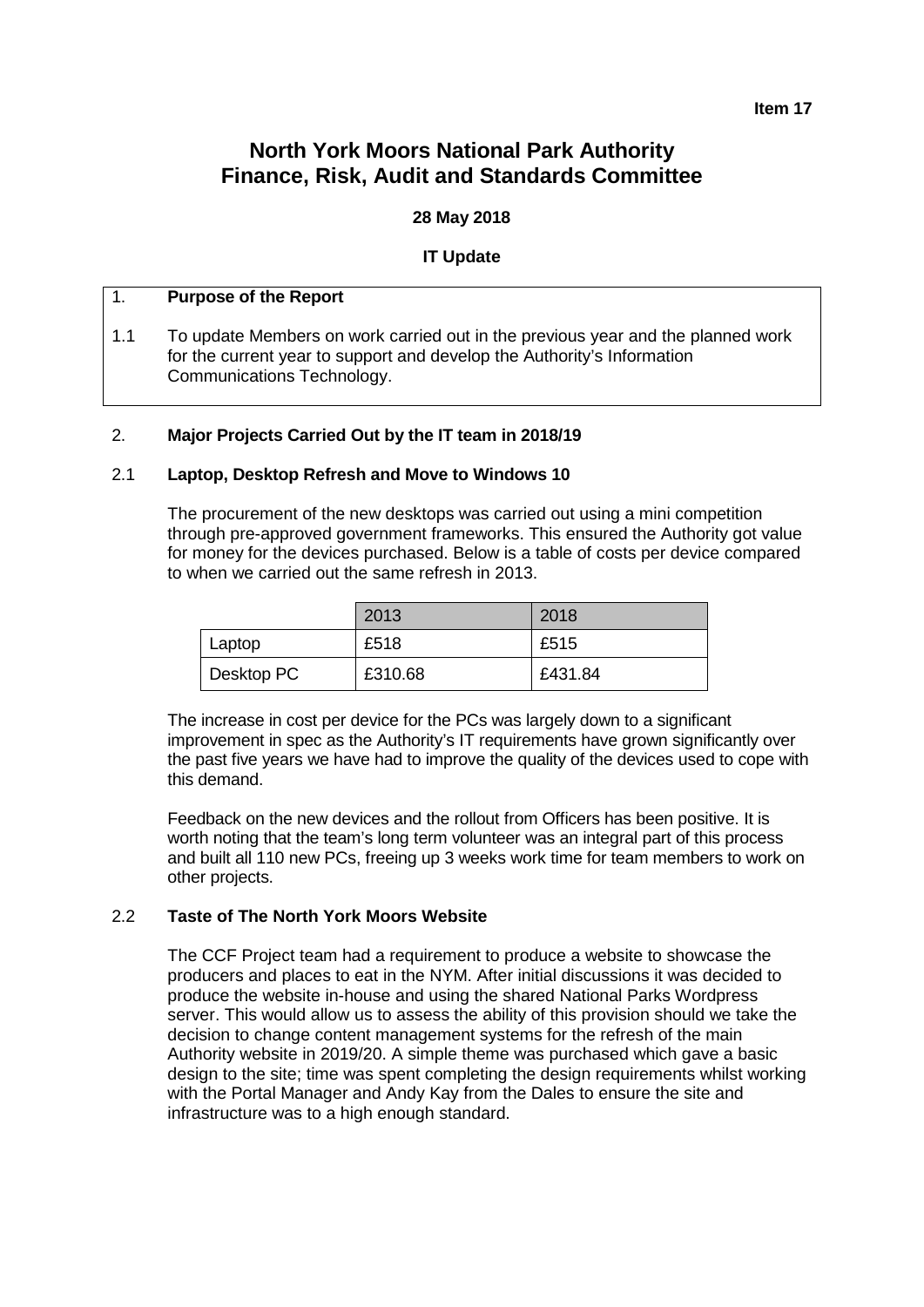#### **Item 17**

# **North York Moors National Park Authority Finance, Risk, Audit and Standards Committee**

## **28 May 2018**

## **IT Update**

## 1. **Purpose of the Report**

1.1 To update Members on work carried out in the previous year and the planned work for the current year to support and develop the Authority's Information Communications Technology.

#### 2. **Major Projects Carried Out by the IT team in 2018/19**

#### 2.1 **Laptop, Desktop Refresh and Move to Windows 10**

The procurement of the new desktops was carried out using a mini competition through pre-approved government frameworks. This ensured the Authority got value for money for the devices purchased. Below is a table of costs per device compared to when we carried out the same refresh in 2013.

|            | 2013    | 2018    |
|------------|---------|---------|
| Laptop     | £518    | £515    |
| Desktop PC | £310.68 | £431.84 |

The increase in cost per device for the PCs was largely down to a significant improvement in spec as the Authority's IT requirements have grown significantly over the past five years we have had to improve the quality of the devices used to cope with this demand.

Feedback on the new devices and the rollout from Officers has been positive. It is worth noting that the team's long term volunteer was an integral part of this process and built all 110 new PCs, freeing up 3 weeks work time for team members to work on other projects.

## 2.2 **Taste of The North York Moors Website**

The CCF Project team had a requirement to produce a website to showcase the producers and places to eat in the NYM. After initial discussions it was decided to produce the website in-house and using the shared National Parks Wordpress server. This would allow us to assess the ability of this provision should we take the decision to change content management systems for the refresh of the main Authority website in 2019/20. A simple theme was purchased which gave a basic design to the site; time was spent completing the design requirements whilst working with the Portal Manager and Andy Kay from the Dales to ensure the site and infrastructure was to a high enough standard.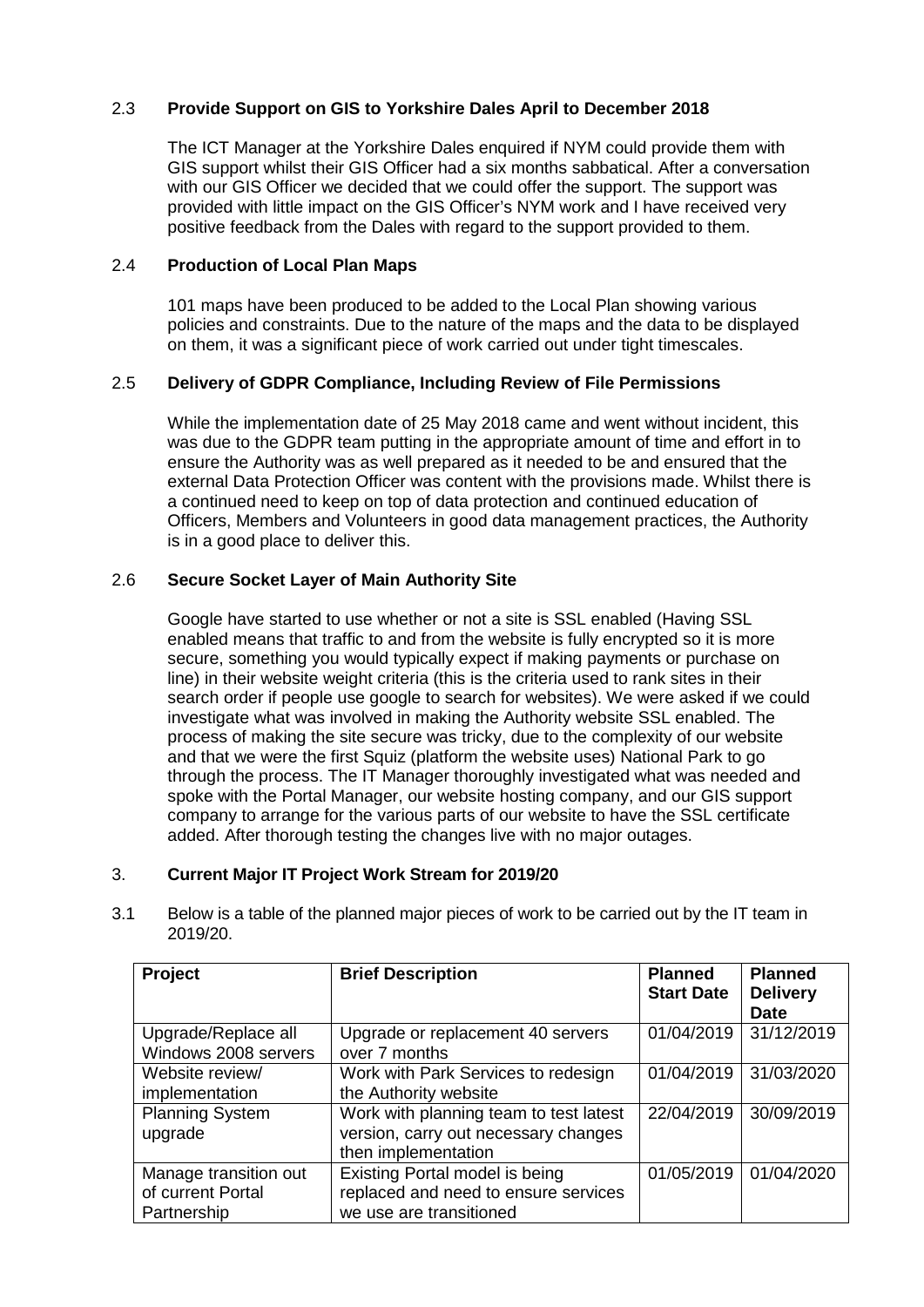## 2.3 **Provide Support on GIS to Yorkshire Dales April to December 2018**

The ICT Manager at the Yorkshire Dales enquired if NYM could provide them with GIS support whilst their GIS Officer had a six months sabbatical. After a conversation with our GIS Officer we decided that we could offer the support. The support was provided with little impact on the GIS Officer's NYM work and I have received very positive feedback from the Dales with regard to the support provided to them.

## 2.4 **Production of Local Plan Maps**

101 maps have been produced to be added to the Local Plan showing various policies and constraints. Due to the nature of the maps and the data to be displayed on them, it was a significant piece of work carried out under tight timescales.

## 2.5 **Delivery of GDPR Compliance, Including Review of File Permissions**

While the implementation date of 25 May 2018 came and went without incident, this was due to the GDPR team putting in the appropriate amount of time and effort in to ensure the Authority was as well prepared as it needed to be and ensured that the external Data Protection Officer was content with the provisions made. Whilst there is a continued need to keep on top of data protection and continued education of Officers, Members and Volunteers in good data management practices, the Authority is in a good place to deliver this.

## 2.6 **Secure Socket Layer of Main Authority Site**

Google have started to use whether or not a site is SSL enabled (Having SSL enabled means that traffic to and from the website is fully encrypted so it is more secure, something you would typically expect if making payments or purchase on line) in their website weight criteria (this is the criteria used to rank sites in their search order if people use google to search for websites). We were asked if we could investigate what was involved in making the Authority website SSL enabled. The process of making the site secure was tricky, due to the complexity of our website and that we were the first Squiz (platform the website uses) National Park to go through the process. The IT Manager thoroughly investigated what was needed and spoke with the Portal Manager, our website hosting company, and our GIS support company to arrange for the various parts of our website to have the SSL certificate added. After thorough testing the changes live with no major outages.

## 3. **Current Major IT Project Work Stream for 2019/20**

|     | <b>Droject</b>                                                                                       | <b>Rriof Decerintion</b> | <b>Dianned</b> | <b>Planned</b> |
|-----|------------------------------------------------------------------------------------------------------|--------------------------|----------------|----------------|
| 3.1 | Below is a table of the planned major pieces of work to be carried out by the IT team in<br>2019/20. |                          |                |                |

| <b>Project</b>         | <b>Brief Description</b>               | <b>Planned</b><br><b>Start Date</b> | <b>Planned</b><br><b>Delivery</b> |
|------------------------|----------------------------------------|-------------------------------------|-----------------------------------|
|                        |                                        |                                     | <b>Date</b>                       |
| Upgrade/Replace all    | Upgrade or replacement 40 servers      | 01/04/2019                          | 31/12/2019                        |
| Windows 2008 servers   | over 7 months                          |                                     |                                   |
| Website review/        | Work with Park Services to redesign    | 01/04/2019                          | 31/03/2020                        |
| implementation         | the Authority website                  |                                     |                                   |
| <b>Planning System</b> | Work with planning team to test latest | 22/04/2019                          | 30/09/2019                        |
| upgrade                | version, carry out necessary changes   |                                     |                                   |
|                        | then implementation                    |                                     |                                   |
| Manage transition out  | Existing Portal model is being         | 01/05/2019                          | 01/04/2020                        |
| of current Portal      | replaced and need to ensure services   |                                     |                                   |
| Partnership            | we use are transitioned                |                                     |                                   |